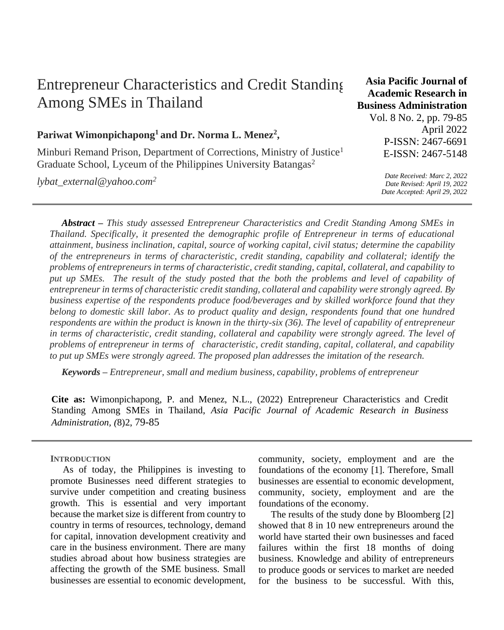# Entrepreneur Characteristics and Credit Standing Among SMEs in Thailand

## **Pariwat Wimonpichapong<sup>1</sup>and Dr. Norma L. Menez<sup>2</sup> ,**

Minburi Remand Prison, Department of Corrections, Ministry of Justice<sup>1</sup> Graduate School, Lyceum of the Philippines University Batangas<sup>2</sup>

*lybat\_external@yahoo.com<sup>2</sup>*

**Academic Research in Business Administration**  Vol. 8 No. 2, pp. 79-85 April 2022 P-ISSN: 2467-6691 E-ISSN: 2467-5148

**Asia Pacific Journal of** 

*Date Received: Marc 2, 2022 Date Revised: April 19, 2022 Date Accepted: April 29, 2022*

*Abstract – This study assessed Entrepreneur Characteristics and Credit Standing Among SMEs in Thailand. Specifically, it presented the demographic profile of Entrepreneur in terms of educational attainment, business inclination, capital, source of working capital, civil status; determine the capability of the entrepreneurs in terms of characteristic, credit standing, capability and collateral; identify the problems of entrepreneurs in terms of characteristic, credit standing, capital, collateral, and capability to put up SMEs. The result of the study posted that the both the problems and level of capability of entrepreneur in terms of characteristic credit standing, collateral and capability were strongly agreed. By business expertise of the respondents produce food/beverages and by skilled workforce found that they belong to domestic skill labor. As to product quality and design, respondents found that one hundred respondents are within the product is known in the thirty-six (36). The level of capability of entrepreneur in terms of characteristic, credit standing, collateral and capability were strongly agreed. The level of problems of entrepreneur in terms of characteristic, credit standing, capital, collateral, and capability to put up SMEs were strongly agreed. The proposed plan addresses the imitation of the research.*

*Keywords – Entrepreneur, small and medium business, capability, problems of entrepreneur*

**Cite as:** Wimonpichapong, P. and Menez, N.L., (2022) Entrepreneur Characteristics and Credit Standing Among SMEs in Thailand, *Asia Pacific Journal of Academic Research in Business Administration, (*8)2, 79-85

**INTRODUCTION**

As of today, the Philippines is investing to promote Businesses need different strategies to survive under competition and creating business growth. This is essential and very important because the market size is different from country to country in terms of resources, technology, demand for capital, innovation development creativity and care in the business environment. There are many studies abroad about how business strategies are affecting the growth of the SME business. Small businesses are essential to economic development, community, society, employment and are the foundations of the economy [1]. Therefore, Small businesses are essential to economic development, community, society, employment and are the foundations of the economy.

The results of the study done by Bloomberg [2] showed that 8 in 10 new entrepreneurs around the world have started their own businesses and faced failures within the first 18 months of doing business. Knowledge and ability of entrepreneurs to produce goods or services to market are needed for the business to be successful. With this,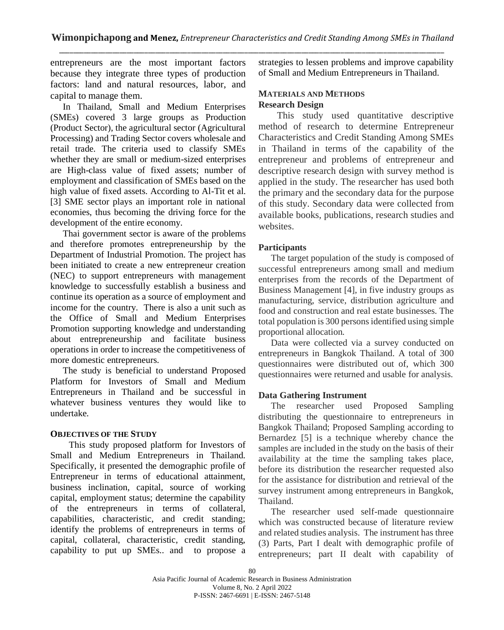entrepreneurs are the most important factors because they integrate three types of production factors: land and natural resources, labor, and capital to manage them.

In Thailand, Small and Medium Enterprises (SMEs) covered 3 large groups as Production (Product Sector), the agricultural sector (Agricultural Processing) and Trading Sector covers wholesale and retail trade. The criteria used to classify SMEs whether they are small or medium-sized enterprises are High-class value of fixed assets; number of employment and classification of SMEs based on the high value of fixed assets. According to Al-Tit et al. [3] SME sector plays an important role in national economies, thus becoming the driving force for the development of the entire economy.

Thai government sector is aware of the problems and therefore promotes entrepreneurship by the Department of Industrial Promotion. The project has been initiated to create a new entrepreneur creation (NEC) to support entrepreneurs with management knowledge to successfully establish a business and continue its operation as a source of employment and income for the country. There is also a unit such as the Office of Small and Medium Enterprises Promotion supporting knowledge and understanding about entrepreneurship and facilitate business operations in order to increase the competitiveness of more domestic entrepreneurs.

The study is beneficial to understand Proposed Platform for Investors of Small and Medium Entrepreneurs in Thailand and be successful in whatever business ventures they would like to undertake.

## **OBJECTIVES OF THE STUDY**

This study proposed platform for Investors of Small and Medium Entrepreneurs in Thailand. Specifically, it presented the demographic profile of Entrepreneur in terms of educational attainment, business inclination, capital, source of working capital, employment status; determine the capability of the entrepreneurs in terms of collateral, capabilities, characteristic, and credit standing; identify the problems of entrepreneurs in terms of capital, collateral, characteristic, credit standing, capability to put up SMEs.. and to propose a

strategies to lessen problems and improve capability of Small and Medium Entrepreneurs in Thailand.

## **MATERIALS AND METHODS Research Design**

This study used quantitative descriptive method of research to determine Entrepreneur Characteristics and Credit Standing Among SMEs in Thailand in terms of the capability of the entrepreneur and problems of entrepreneur and descriptive research design with survey method is applied in the study. The researcher has used both the primary and the secondary data for the purpose of this study. Secondary data were collected from available books, publications, research studies and websites.

## **Participants**

The target population of the study is composed of successful entrepreneurs among small and medium enterprises from the records of the Department of Business Management [4], in five industry groups as manufacturing, service, distribution agriculture and food and construction and real estate businesses. The total population is 300 persons identified using simple proportional allocation.

Data were collected via a survey conducted on entrepreneurs in Bangkok Thailand. A total of 300 questionnaires were distributed out of, which 300 questionnaires were returned and usable for analysis.

## **Data Gathering Instrument**

The researcher used Proposed Sampling distributing the questionnaire to entrepreneurs in Bangkok Thailand; Proposed Sampling according to Bernardez [5] is a technique whereby chance the samples are included in the study on the basis of their availability at the time the sampling takes place, before its distribution the researcher requested also for the assistance for distribution and retrieval of the survey instrument among entrepreneurs in Bangkok, Thailand.

The researcher used self-made questionnaire which was constructed because of literature review and related studies analysis. The instrument has three (3) Parts, Part I dealt with demographic profile of entrepreneurs; part II dealt with capability of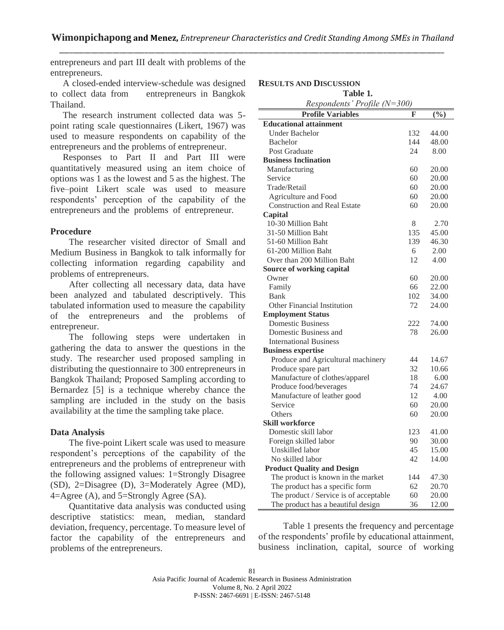**RESULTS AND DISCUSSION**

entrepreneurs and part III dealt with problems of the entrepreneurs.

A closed-ended interview-schedule was designed to collect data from entrepreneurs in Bangkok Thailand.

The research instrument collected data was 5 point rating scale questionnaires (Likert, 1967) was used to measure respondents on capability of the entrepreneurs and the problems of entrepreneur.

Responses to Part II and Part III were quantitatively measured using an item choice of options was 1 as the lowest and 5 as the highest. The five–point Likert scale was used to measure respondents' perception of the capability of the entrepreneurs and the problems of entrepreneur.

#### **Procedure**

The researcher visited director of Small and Medium Business in Bangkok to talk informally for collecting information regarding capability and problems of entrepreneurs.

After collecting all necessary data, data have been analyzed and tabulated descriptively. This tabulated information used to measure the capability of the entrepreneurs and the problems of entrepreneur.

The following steps were undertaken in gathering the data to answer the questions in the study. The researcher used proposed sampling in distributing the questionnaire to 300 entrepreneurs in Bangkok Thailand; Proposed Sampling according to Bernardez [5] is a technique whereby chance the sampling are included in the study on the basis availability at the time the sampling take place.

## **Data Analysis**

The five-point Likert scale was used to measure respondent's perceptions of the capability of the entrepreneurs and the problems of entrepreneur with the following assigned values: 1=Strongly Disagree (SD), 2=Disagree (D), 3=Moderately Agree (MD), 4=Agree (A), and 5=Strongly Agree (SA).

Quantitative data analysis was conducted using descriptive statistics: mean, median, standard deviation, frequency, percentage. To measure level of factor the capability of the entrepreneurs and problems of the entrepreneurs.

| Table 1.                               |     |                 |  |
|----------------------------------------|-----|-----------------|--|
| Respondents' Profile (N=300)           |     |                 |  |
| <b>Profile Variables</b>               | F   | $(\frac{6}{6})$ |  |
| <b>Educational attainment</b>          |     |                 |  |
| <b>Under Bachelor</b>                  | 132 | 44.00           |  |
| <b>Bachelor</b>                        | 144 | 48.00           |  |
| Post Graduate                          | 24  | 8.00            |  |
| <b>Business Inclination</b>            |     |                 |  |
| Manufacturing                          | 60  | 20.00           |  |
| Service                                | 60  | 20.00           |  |
| Trade/Retail                           | 60  | 20.00           |  |
| Agriculture and Food                   | 60  | 20.00           |  |
| <b>Construction and Real Estate</b>    | 60  | 20.00           |  |
| Capital                                |     |                 |  |
| 10-30 Million Baht                     | 8   | 2.70            |  |
| 31-50 Million Baht                     | 135 | 45.00           |  |
| 51-60 Million Baht                     | 139 | 46.30           |  |
| 61-200 Million Baht                    | 6   | 2.00            |  |
| Over than 200 Million Baht             | 12  | 4.00            |  |
| Source of working capital              |     |                 |  |
| Owner                                  | 60  | 20.00           |  |
| Family                                 | 66  | 22.00           |  |
| Bank                                   | 102 | 34.00           |  |
| <b>Other Financial Institution</b>     | 72  | 24.00           |  |
| <b>Employment Status</b>               |     |                 |  |
| <b>Domestic Business</b>               | 222 | 74.00           |  |
| Domestic Business and                  | 78  | 26.00           |  |
| <b>International Business</b>          |     |                 |  |
| <b>Business expertise</b>              |     |                 |  |
| Produce and Agricultural machinery     | 44  | 14.67           |  |
| Produce spare part                     | 32  | 10.66           |  |
| Manufacture of clothes/apparel         | 18  | 6.00            |  |
| Produce food/beverages                 | 74  | 24.67           |  |
| Manufacture of leather good            | 12  | 4.00            |  |
| Service                                | 60  | 20.00           |  |
| Others                                 | 60  | 20.00           |  |
| Skill workforce                        |     |                 |  |
| Domestic skill labor                   | 123 | 41.00           |  |
| Foreign skilled labor                  | 90  | 30.00           |  |
| Unskilled labor                        | 45  | 15.00           |  |
| No skilled labor                       | 42  | 14.00           |  |
| <b>Product Quality and Design</b>      |     |                 |  |
| The product is known in the market     | 144 | 47.30           |  |
| The product has a specific form        | 62  | 20.70           |  |
| The product / Service is of acceptable | 60  | 20.00           |  |
| The product has a beautiful design     | 36  | 12.00           |  |
|                                        |     |                 |  |

Table 1 presents the frequency and percentage of the respondents' profile by educational attainment, business inclination, capital, source of working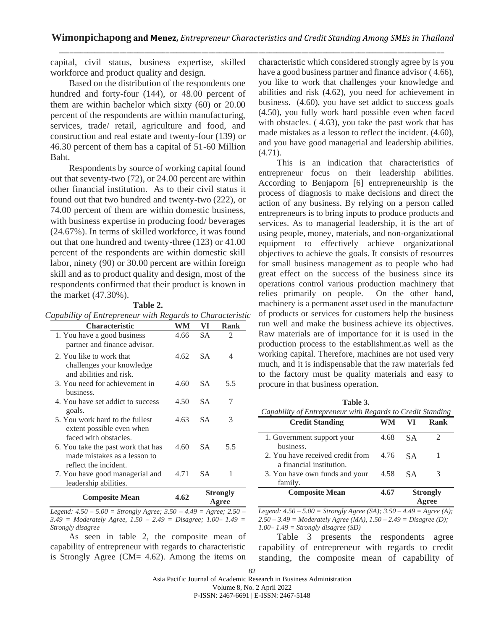capital, civil status, business expertise, skilled workforce and product quality and design.

Based on the distribution of the respondents one hundred and forty-four (144), or 48.00 percent of them are within bachelor which sixty (60) or 20.00 percent of the respondents are within manufacturing, services, trade/ retail, agriculture and food, and construction and real estate and twenty-four (139) or 46.30 percent of them has a capital of 51-60 Million Baht.

Respondents by source of working capital found out that seventy-two (72), or 24.00 percent are within other financial institution. As to their civil status it found out that two hundred and twenty-two (222), or 74.00 percent of them are within domestic business, with business expertise in producing food/ beverages (24.67%). In terms of skilled workforce, it was found out that one hundred and twenty-three (123) or 41.00 percent of the respondents are within domestic skill labor, ninety (90) or 30.00 percent are within foreign skill and as to product quality and design, most of the respondents confirmed that their product is known in the market (47.30%).

#### **Table 2.**

| <b>Characteristic</b>                                                                       | WM   | VI                       | <b>Rank</b> |
|---------------------------------------------------------------------------------------------|------|--------------------------|-------------|
| 1. You have a good business<br>partner and finance advisor.                                 | 4.66 | <b>SA</b>                | 2           |
| 2. You like to work that<br>challenges your knowledge<br>and abilities and risk.            | 4.62 | <b>SA</b>                | 4           |
| 3. You need for achievement in<br>business.                                                 | 4.60 | <b>SA</b>                | 5.5         |
| 4. You have set addict to success<br>goals.                                                 | 4.50 | SА                       | 7           |
| 5. You work hard to the fullest<br>extent possible even when<br>faced with obstacles.       | 4.63 | <b>SA</b>                | 3           |
| 6. You take the past work that has<br>made mistakes as a lesson to<br>reflect the incident. | 4.60 | <b>SA</b>                | 5.5         |
| 7. You have good managerial and<br>leadership abilities.                                    | 4.71 | <b>SA</b>                | 1           |
| <b>Composite Mean</b>                                                                       | 4.62 | <b>Strongly</b><br>Agree |             |

*Legend: 4.50 – 5.00 = Strongly Agree; 3.50 – 4.49 = Agree; 2.50 – 3.49 = Moderately Agree, 1.50 – 2.49 = Disagree; 1.00– 1.49 = Strongly disagree*

As seen in table 2, the composite mean of capability of entrepreneur with regards to characteristic is Strongly Agree (CM= 4.62). Among the items on

characteristic which considered strongly agree by is you have a good business partner and finance advisor  $(4.66)$ , you like to work that challenges your knowledge and abilities and risk (4.62), you need for achievement in business. (4.60), you have set addict to success goals (4.50), you fully work hard possible even when faced with obstacles.  $(4.63)$ , you take the past work that has made mistakes as a lesson to reflect the incident. (4.60), and you have good managerial and leadership abilities. (4.71).

This is an indication that characteristics of entrepreneur focus on their leadership abilities. According to Benjaporn [6] entrepreneurship is the process of diagnosis to make decisions and direct the action of any business. By relying on a person called entrepreneurs is to bring inputs to produce products and services. As to managerial leadership, it is the art of using people, money, materials, and non-organizational equipment to effectively achieve organizational objectives to achieve the goals. It consists of resources for small business management as to people who had great effect on the success of the business since its operations control various production machinery that relies primarily on people. On the other hand, machinery is a permanent asset used in the manufacture of products or services for customers help the business run well and make the business achieve its objectives. Raw materials are of importance for it is used in the production process to the establishment.as well as the working capital. Therefore, machines are not used very much, and it is indispensable that the raw materials fed to the factory must be quality materials and easy to procure in that business operation.

| Table 3.                                                   |  |
|------------------------------------------------------------|--|
| Capability of Entrepreneur with Regards to Credit Standing |  |

| <b>Credit Standing</b>                                       | WM   | VI              | Rank |
|--------------------------------------------------------------|------|-----------------|------|
| 1. Government support your<br>business.                      | 4.68 | SА.             | 7    |
| 2. You have received credit from<br>a financial institution. | 4.76 | S A             |      |
| 3. You have own funds and your<br>family.                    | 4.58 | S A             | 3    |
| <b>Composite Mean</b>                                        | 4.67 | <b>Strongly</b> |      |

*Legend: 4.50 – 5.00 = Strongly Agree (SA); 3.50 – 4.49 = Agree (A); 2.50 – 3.49 = Moderately Agree (MA), 1.50 – 2.49 = Disagree (D); 1.00– 1.49 = Strongly disagree (SD)*

Table 3 presents the respondents agree capability of entrepreneur with regards to credit standing, the composite mean of capability of

Asia Pacific Journal of Academic Research in Business Administration

Volume 8, No. 2 April 2022

P-ISSN: 2467-6691 | E-ISSN: 2467-5148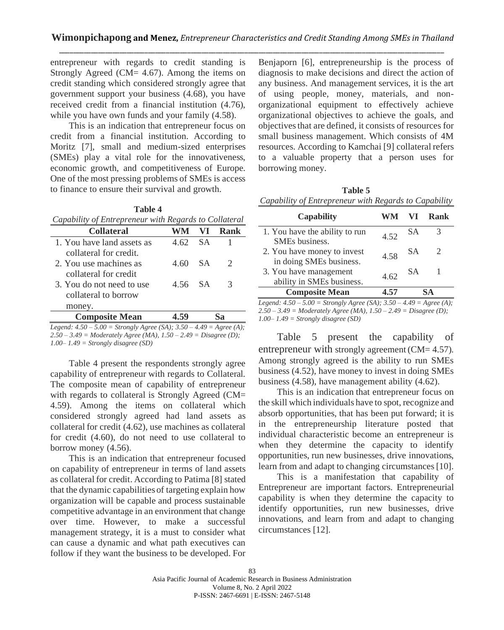entrepreneur with regards to credit standing is Strongly Agreed (CM= 4.67). Among the items on credit standing which considered strongly agree that government support your business (4.68), you have received credit from a financial institution (4.76), while you have own funds and your family  $(4.58)$ .

This is an indication that entrepreneur focus on credit from a financial institution. According to Moritz [7], small and medium-sized enterprises (SMEs) play a vital role for the innovativeness, economic growth, and competitiveness of Europe. One of the most pressing problems of SMEs is access to finance to ensure their survival and growth.

**Table 4**

| Capability of Entrepreneur with Regards to Collateral |        |      |                                                                                                                                                                 |
|-------------------------------------------------------|--------|------|-----------------------------------------------------------------------------------------------------------------------------------------------------------------|
| <b>Collateral</b>                                     |        | VI.  | Rank                                                                                                                                                            |
| 1. You have land assets as                            | 4.62   | - SA |                                                                                                                                                                 |
| collateral for credit.                                |        |      |                                                                                                                                                                 |
| 2. You use machines as                                | 4.60   | - SA | $\mathcal{D}_{\mathcal{A}}^{\mathcal{A}}(\mathcal{A})=\mathcal{D}_{\mathcal{A}}^{\mathcal{A}}(\mathcal{A})\mathcal{D}_{\mathcal{A}}^{\mathcal{A}}(\mathcal{A})$ |
| collateral for credit                                 |        |      |                                                                                                                                                                 |
| 3. You do not need to use                             | 456 SA |      | 3                                                                                                                                                               |
| collateral to borrow                                  |        |      |                                                                                                                                                                 |
| money.                                                |        |      |                                                                                                                                                                 |
| <b>Composite Mean</b>                                 |        |      |                                                                                                                                                                 |

*Legend: 4.50 – 5.00 = Strongly Agree (SA); 3.50 – 4.49 = Agree (A); 2.50 – 3.49 = Moderately Agree (MA), 1.50 – 2.49 = Disagree (D); 1.00– 1.49 = Strongly disagree (SD)*

Table 4 present the respondents strongly agree capability of entrepreneur with regards to Collateral. The composite mean of capability of entrepreneur with regards to collateral is Strongly Agreed (CM= 4.59). Among the items on collateral which considered strongly agreed had land assets as collateral for credit (4.62), use machines as collateral for credit (4.60), do not need to use collateral to borrow money (4.56).

This is an indication that entrepreneur focused on capability of entrepreneur in terms of land assets as collateral for credit. According to Patima [8] stated that the dynamic capabilities of targeting explain how organization will be capable and process sustainable competitive advantage in an environment that change over time. However, to make a successful management strategy, it is a must to consider what can cause a dynamic and what path executives can follow if they want the business to be developed. For Benjaporn [6], entrepreneurship is the process of diagnosis to make decisions and direct the action of any business. And management services, it is the art of using people, money, materials, and nonorganizational equipment to effectively achieve organizational objectives to achieve the goals, and objectives that are defined, it consists of resources for small business management. Which consists of 4M resources. According to Kamchai [9] collateral refers to a valuable property that a person uses for borrowing money.

**Table 5** *Capability of Entrepreneur with Regards to Capability*

| <b>Capability</b>                                      | WM — | VI.       | Rank |
|--------------------------------------------------------|------|-----------|------|
| 1. You have the ability to run<br>SMEs business.       | 4.52 | SΑ        |      |
| 2. You have money to invest<br>in doing SMEs business. | 4.58 | <b>SA</b> |      |
| 3. You have management<br>ability in SMEs business.    | 4.62 | SΑ        |      |
| <b>Composite Mean</b>                                  | 4 57 |           |      |

*Legend: 4.50 – 5.00 = Strongly Agree (SA); 3.50 – 4.49 = Agree (A); 2.50 – 3.49 = Moderately Agree (MA), 1.50 – 2.49 = Disagree (D); 1.00– 1.49 = Strongly disagree (SD)*

Table 5 present the capability of entrepreneur with strongly agreement (CM= 4.57). Among strongly agreed is the ability to run SMEs business (4.52), have money to invest in doing SMEs business (4.58), have management ability (4.62).

This is an indication that entrepreneur focus on the skill which individuals have to spot, recognize and absorb opportunities, that has been put forward; it is in the entrepreneurship literature posted that individual characteristic become an entrepreneur is when they determine the capacity to identify opportunities, run new businesses, drive innovations, learn from and adapt to changing circumstances [10].

This is a manifestation that capability of Entrepreneur are important factors. Entrepreneurial capability is when they determine the capacity to identify opportunities, run new businesses, drive innovations, and learn from and adapt to changing circumstances [12].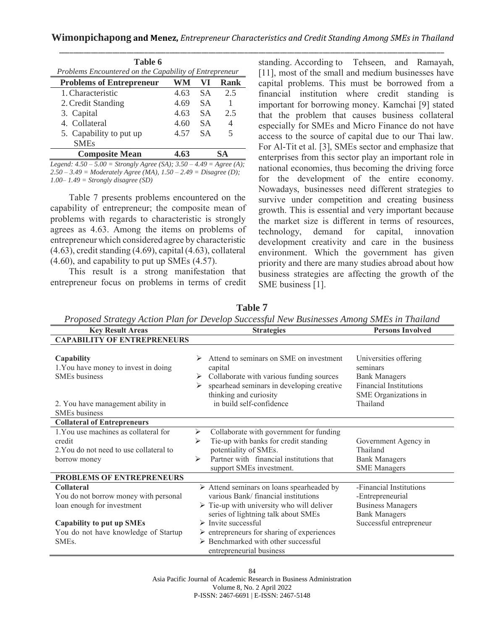| Table 6                                                |      |           |      |
|--------------------------------------------------------|------|-----------|------|
| Problems Encountered on the Capability of Entrepreneur |      |           |      |
| <b>Problems of Entrepreneur</b>                        | WM   | VI        | Rank |
| 1. Characteristic                                      | 4.63 | <b>SA</b> | 2.5  |
| 2. Credit Standing                                     | 4.69 | <b>SA</b> |      |
| 3. Capital                                             | 4.63 | <b>SA</b> | 2.5  |
| 4. Collateral                                          | 4.60 | <b>SA</b> | 4    |
| 5. Capability to put up                                | 4.57 | <b>SA</b> | 5    |
| <b>SMEs</b>                                            |      |           |      |
| <b>Composite Mean</b>                                  |      |           |      |

*Legend: 4.50 – 5.00 = Strongly Agree (SA); 3.50 – 4.49 = Agree (A); 2.50 – 3.49 = Moderately Agree (MA), 1.50 – 2.49 = Disagree (D); 1.00– 1.49 = Strongly disagree (SD)*

Table 7 presents problems encountered on the capability of entrepreneur; the composite mean of problems with regards to characteristic is strongly agrees as 4.63. Among the items on problems of entrepreneur which considered agree by characteristic (4.63), credit standing (4.69), capital (4.63), collateral (4.60), and capability to put up SMEs (4.57).

This result is a strong manifestation that entrepreneur focus on problems in terms of credit

standing. According to Tehseen, and Ramayah, [11], most of the small and medium businesses have capital problems. This must be borrowed from a financial institution where credit standing is important for borrowing money. Kamchai [9] stated that the problem that causes business collateral especially for SMEs and Micro Finance do not have access to the source of capital due to our Thai law. For Al-Tit et al. [3], SMEs sector and emphasize that enterprises from this sector play an important role in national economies, thus becoming the driving force for the development of the entire economy. Nowadays, businesses need different strategies to survive under competition and creating business growth. This is essential and very important because the market size is different in terms of resources, technology, demand for capital, innovation development creativity and care in the business environment. Which the government has given priority and there are many studies abroad about how business strategies are affecting the growth of the SME business [1].

**Table 7**

*Proposed Strategy Action Plan for Develop Successful New Businesses Among SMEs in Thailand*

| <b>Key Result Areas</b>                                                                                                                                                                    | <b>Strategies</b>                                                                                                                                                                                                                                                                                                                                                        | <b>Persons Involved</b>                                                                                                        |
|--------------------------------------------------------------------------------------------------------------------------------------------------------------------------------------------|--------------------------------------------------------------------------------------------------------------------------------------------------------------------------------------------------------------------------------------------------------------------------------------------------------------------------------------------------------------------------|--------------------------------------------------------------------------------------------------------------------------------|
| <b>CAPABILITY OF ENTREPRENEURS</b>                                                                                                                                                         |                                                                                                                                                                                                                                                                                                                                                                          |                                                                                                                                |
| Capability<br>1. You have money to invest in doing<br><b>SMEs</b> business<br>2. You have management ability in<br><b>SMEs</b> business                                                    | Attend to seminars on SME on investment<br>⋗<br>capital<br>Collaborate with various funding sources<br>spearhead seminars in developing creative<br>➤<br>thinking and curiosity<br>in build self-confidence                                                                                                                                                              | Universities offering<br>seminars<br><b>Bank Managers</b><br><b>Financial Institutions</b><br>SME Organizations in<br>Thailand |
| <b>Collateral of Entrepreneurs</b>                                                                                                                                                         |                                                                                                                                                                                                                                                                                                                                                                          |                                                                                                                                |
| 1. You use machines as collateral for<br>credit<br>2. You do not need to use collateral to<br>borrow money                                                                                 | Collaborate with government for funding<br>⋗<br>Tie-up with banks for credit standing<br>⋗<br>potentiality of SMEs.<br>Partner with financial institutions that<br>⋗<br>support SMEs investment.                                                                                                                                                                         | Government Agency in<br>Thailand<br><b>Bank Managers</b><br><b>SME</b> Managers                                                |
| PROBLEMS OF ENTREPRENEURS                                                                                                                                                                  |                                                                                                                                                                                                                                                                                                                                                                          |                                                                                                                                |
| <b>Collateral</b><br>You do not borrow money with personal<br>loan enough for investment<br><b>Capability to put up SMEs</b><br>You do not have knowledge of Startup<br>SME <sub>s</sub> . | > Attend seminars on loans spearheaded by<br>various Bank/financial institutions<br>$\triangleright$ Tie-up with university who will deliver<br>series of lightning talk about SMEs<br>$\triangleright$ Invite successful<br>$\triangleright$ entrepreneurs for sharing of experiences<br>$\triangleright$ Benchmarked with other successful<br>entrepreneurial business | -Financial Institutions<br>-Entrepreneurial<br><b>Business Managers</b><br><b>Bank Managers</b><br>Successful entrepreneur     |

84

Asia Pacific Journal of Academic Research in Business Administration Volume 8, No. 2 April 2022 P-ISSN: 2467-6691 | E-ISSN: 2467-5148